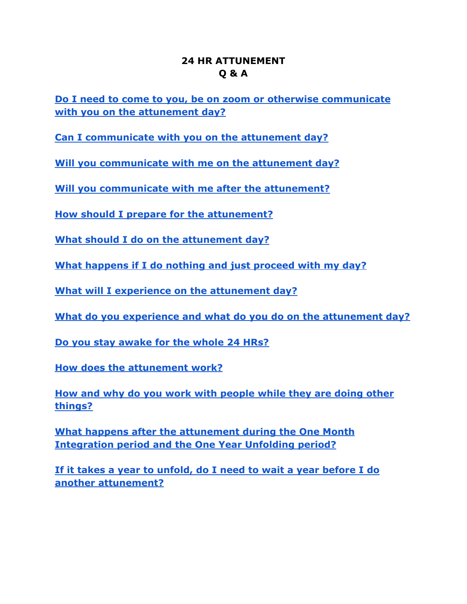## **24 HR ATTUNEMENT Q & A**

<span id="page-0-0"></span>**[Do I need to come to you, be on zoom or otherwise communicate](#page-1-0) [with you on the attunement day?](#page-1-0)**

**[Can I communicate with you on the attunement day?](#page-1-1)**

**[Will you communicate with me on the attunement day?](#page-1-2)**

**[Will you communicate with me after the attunement?](#page-1-3)**

**[How should I prepare for the attunement?](#page-2-0)**

**[What should I do on the attunement day?](#page-2-1)**

**[What happens if I do nothing and just proceed with my day?](#page-3-0)**

**[What will I experience on the attunement day?](#page-3-1)**

**[What do you experience and what do you do on the attunement day?](#page-3-2)**

**[Do you stay awake for the whole 24 HRs?](#page-4-0)**

**[How does the attunement work?](#page-4-1)**

**[How and why do you work with people while they are doing other](#page-5-0) [things?](#page-5-0)**

**[What happens after the attunement during the One Month](#page-6-0) [Integration period and the One Year Unfolding period?](#page-6-0)**

**[If it takes a year to unfold, do I need to wait a year before I do](#page-6-1) [another attunement?](#page-6-1)**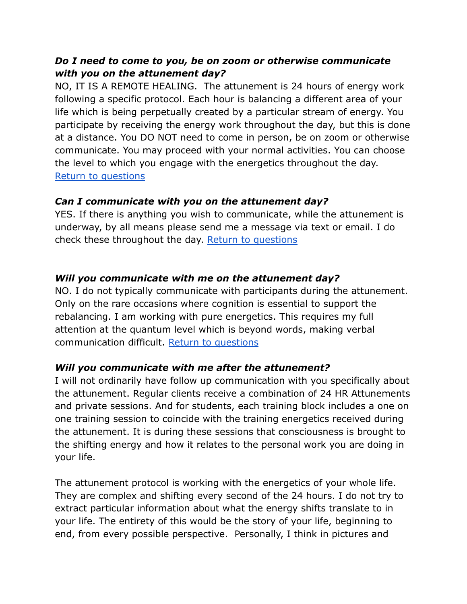# <span id="page-1-0"></span>*Do I need to come to you, be on zoom or otherwise communicate with you on the attunement day?*

NO, IT IS A REMOTE HEALING. The attunement is 24 hours of energy work following a specific protocol. Each hour is balancing a different area of your life which is being perpetually created by a particular stream of energy. You participate by receiving the energy work throughout the day, but this is done at a distance. You DO NOT need to come in person, be on zoom or otherwise communicate. You may proceed with your normal activities. You can choose the level to which you engage with the energetics throughout the day. [Return to questions](#page-0-0)

### <span id="page-1-1"></span>*Can I communicate with you on the attunement day?*

YES. If there is anything you wish to communicate, while the attunement is underway, by all means please send me a message via text or email. I do check these throughout the day. [Return to questions](#page-0-0)

## <span id="page-1-2"></span>*Will you communicate with me on the attunement day?*

NO. I do not typically communicate with participants during the attunement. Only on the rare occasions where cognition is essential to support the rebalancing. I am working with pure energetics. This requires my full attention at the quantum level which is beyond words, making verbal communication difficult. [Return to questions](#page-0-0)

### <span id="page-1-3"></span>*Will you communicate with me after the attunement?*

I will not ordinarily have follow up communication with you specifically about the attunement. Regular clients receive a combination of 24 HR Attunements and private sessions. And for students, each training block includes a one on one training session to coincide with the training energetics received during the attunement. It is during these sessions that consciousness is brought to the shifting energy and how it relates to the personal work you are doing in your life.

The attunement protocol is working with the energetics of your whole life. They are complex and shifting every second of the 24 hours. I do not try to extract particular information about what the energy shifts translate to in your life. The entirety of this would be the story of your life, beginning to end, from every possible perspective. Personally, I think in pictures and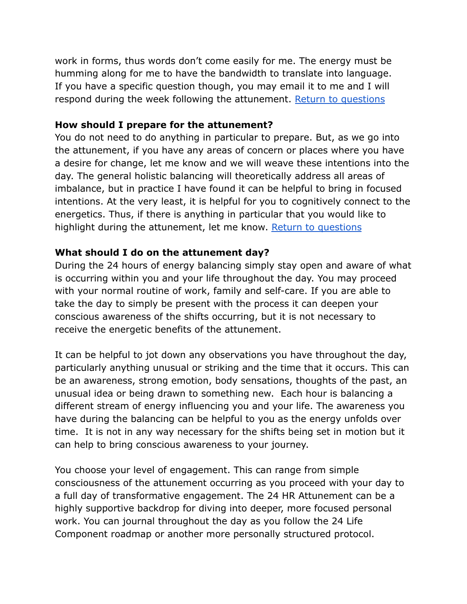work in forms, thus words don't come easily for me. The energy must be humming along for me to have the bandwidth to translate into language. If you have a specific question though, you may email it to me and I will respond during the week following the attunement. [Return to questions](#page-0-0)

### <span id="page-2-0"></span>**How should I prepare for the attunement?**

You do not need to do anything in particular to prepare. But, as we go into the attunement, if you have any areas of concern or places where you have a desire for change, let me know and we will weave these intentions into the day. The general holistic balancing will theoretically address all areas of imbalance, but in practice I have found it can be helpful to bring in focused intentions. At the very least, it is helpful for you to cognitively connect to the energetics. Thus, if there is anything in particular that you would like to highlight during the attunement, let me know. Return [to questions](#page-0-0)

### <span id="page-2-1"></span>**What should I do on the attunement day?**

During the 24 hours of energy balancing simply stay open and aware of what is occurring within you and your life throughout the day. You may proceed with your normal routine of work, family and self-care. If you are able to take the day to simply be present with the process it can deepen your conscious awareness of the shifts occurring, but it is not necessary to receive the energetic benefits of the attunement.

It can be helpful to jot down any observations you have throughout the day, particularly anything unusual or striking and the time that it occurs. This can be an awareness, strong emotion, body sensations, thoughts of the past, an unusual idea or being drawn to something new. Each hour is balancing a different stream of energy influencing you and your life. The awareness you have during the balancing can be helpful to you as the energy unfolds over time. It is not in any way necessary for the shifts being set in motion but it can help to bring conscious awareness to your journey.

You choose your level of engagement. This can range from simple consciousness of the attunement occurring as you proceed with your day to a full day of transformative engagement. The 24 HR Attunement can be a highly supportive backdrop for diving into deeper, more focused personal work. You can journal throughout the day as you follow the 24 Life Component roadmap or another more personally structured protocol.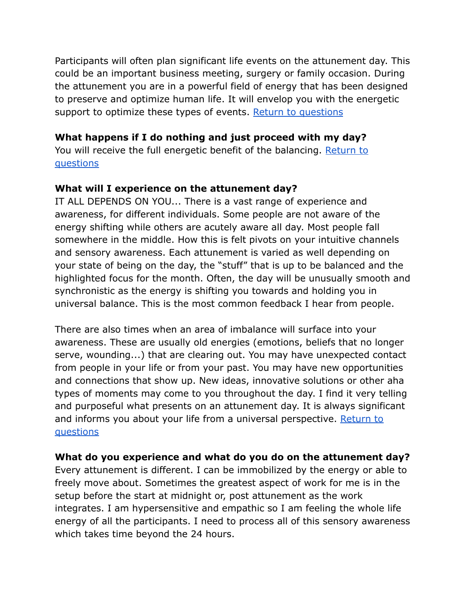Participants will often plan significant life events on the attunement day. This could be an important business meeting, surgery or family occasion. During the attunement you are in a powerful field of energy that has been designed to preserve and optimize human life. It will envelop you with the energetic support to optimize these types of events. Return [to questions](#page-0-0)

### <span id="page-3-0"></span>**What happens if I do nothing and just proceed with my day?**

You will receive the full energetic benefit of the balancing. [Return to](#page-0-0) [questions](#page-0-0)

### <span id="page-3-1"></span>**What will I experience on the attunement day?**

IT ALL DEPENDS ON YOU... There is a vast range of experience and awareness, for different individuals. Some people are not aware of the energy shifting while others are acutely aware all day. Most people fall somewhere in the middle. How this is felt pivots on your intuitive channels and sensory awareness. Each attunement is varied as well depending on your state of being on the day, the "stuff" that is up to be balanced and the highlighted focus for the month. Often, the day will be unusually smooth and synchronistic as the energy is shifting you towards and holding you in universal balance. This is the most common feedback I hear from people.

There are also times when an area of imbalance will surface into your awareness. These are usually old energies (emotions, beliefs that no longer serve, wounding...) that are clearing out. You may have unexpected contact from people in your life or from your past. You may have new opportunities and connections that show up. New ideas, innovative solutions or other aha types of moments may come to you throughout the day. I find it very telling and purposeful what presents on an attunement day. It is always significant and informs you about your life from a universal perspective. [Return to](#page-0-0) [questions](#page-0-0)

#### <span id="page-3-2"></span>**What do you experience and what do you do on the attunement day?**

Every attunement is different. I can be immobilized by the energy or able to freely move about. Sometimes the greatest aspect of work for me is in the setup before the start at midnight or, post attunement as the work integrates. I am hypersensitive and empathic so I am feeling the whole life energy of all the participants. I need to process all of this sensory awareness which takes time beyond the 24 hours.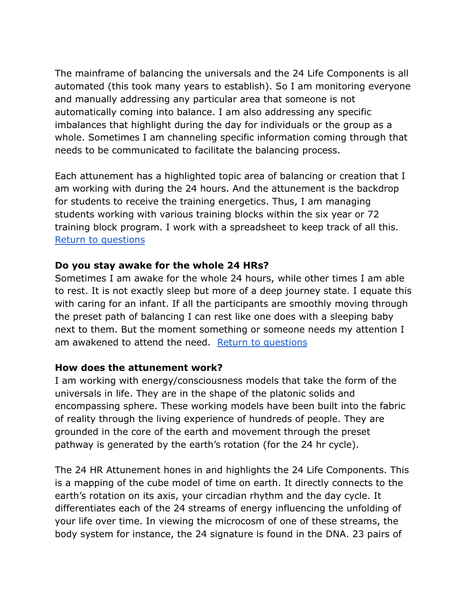The mainframe of balancing the universals and the 24 Life Components is all automated (this took many years to establish). So I am monitoring everyone and manually addressing any particular area that someone is not automatically coming into balance. I am also addressing any specific imbalances that highlight during the day for individuals or the group as a whole. Sometimes I am channeling specific information coming through that needs to be communicated to facilitate the balancing process.

Each attunement has a highlighted topic area of balancing or creation that I am working with during the 24 hours. And the attunement is the backdrop for students to receive the training energetics. Thus, I am managing students working with various training blocks within the six year or 72 training block program. I work with a spreadsheet to keep track of all this. [Return to questions](#page-0-0)

### <span id="page-4-0"></span>**Do you stay awake for the whole 24 HRs?**

Sometimes I am awake for the whole 24 hours, while other times I am able to rest. It is not exactly sleep but more of a deep journey state. I equate this with caring for an infant. If all the participants are smoothly moving through the preset path of balancing I can rest like one does with a sleeping baby next to them. But the moment something or someone needs my attention I am awakened to attend the need. [Return to questions](#page-0-0)

#### <span id="page-4-1"></span>**How does the attunement work?**

I am working with energy/consciousness models that take the form of the universals in life. They are in the shape of the platonic solids and encompassing sphere. These working models have been built into the fabric of reality through the living experience of hundreds of people. They are grounded in the core of the earth and movement through the preset pathway is generated by the earth's rotation (for the 24 hr cycle).

The 24 HR Attunement hones in and highlights the 24 Life Components. This is a mapping of the cube model of time on earth. It directly connects to the earth's rotation on its axis, your circadian rhythm and the day cycle. It differentiates each of the 24 streams of energy influencing the unfolding of your life over time. In viewing the microcosm of one of these streams, the body system for instance, the 24 signature is found in the DNA. 23 pairs of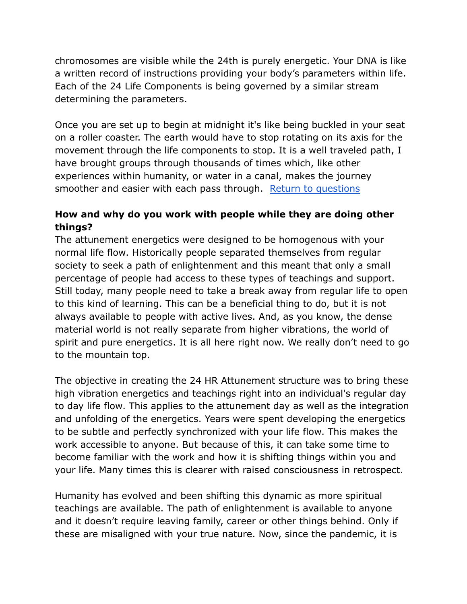chromosomes are visible while the 24th is purely energetic. Your DNA is like a written record of instructions providing your body's parameters within life. Each of the 24 Life Components is being governed by a similar stream determining the parameters.

Once you are set up to begin at midnight it's like being buckled in your seat on a roller coaster. The earth would have to stop rotating on its axis for the movement through the life components to stop. It is a well traveled path, I have brought groups through thousands of times which, like other experiences within humanity, or water in a canal, makes the journey smoother and easier with each pass through. Return [to questions](#page-0-0)

# <span id="page-5-0"></span>**How and why do you work with people while they are doing other things?**

The attunement energetics were designed to be homogenous with your normal life flow. Historically people separated themselves from regular society to seek a path of enlightenment and this meant that only a small percentage of people had access to these types of teachings and support. Still today, many people need to take a break away from regular life to open to this kind of learning. This can be a beneficial thing to do, but it is not always available to people with active lives. And, as you know, the dense material world is not really separate from higher vibrations, the world of spirit and pure energetics. It is all here right now. We really don't need to go to the mountain top.

The objective in creating the 24 HR Attunement structure was to bring these high vibration energetics and teachings right into an individual's regular day to day life flow. This applies to the attunement day as well as the integration and unfolding of the energetics. Years were spent developing the energetics to be subtle and perfectly synchronized with your life flow. This makes the work accessible to anyone. But because of this, it can take some time to become familiar with the work and how it is shifting things within you and your life. Many times this is clearer with raised consciousness in retrospect.

Humanity has evolved and been shifting this dynamic as more spiritual teachings are available. The path of enlightenment is available to anyone and it doesn't require leaving family, career or other things behind. Only if these are misaligned with your true nature. Now, since the pandemic, it is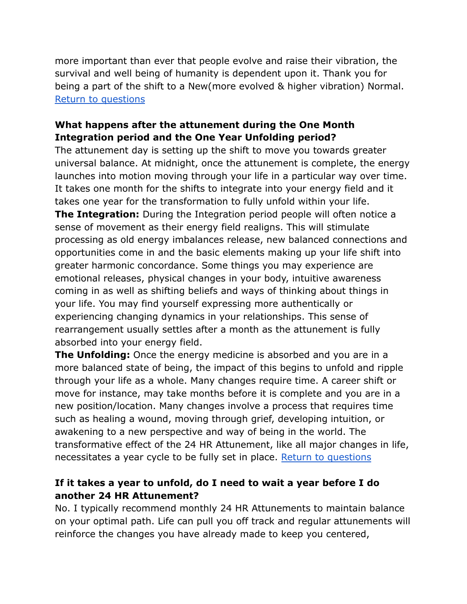more important than ever that people evolve and raise their vibration, the survival and well being of humanity is dependent upon it. Thank you for being a part of the shift to a New(more evolved & higher vibration) Normal. [Return to questions](#page-0-0)

# <span id="page-6-0"></span>**What happens after the attunement during the One Month Integration period and the One Year Unfolding period?**

The attunement day is setting up the shift to move you towards greater universal balance. At midnight, once the attunement is complete, the energy launches into motion moving through your life in a particular way over time. It takes one month for the shifts to integrate into your energy field and it takes one year for the transformation to fully unfold within your life. **The Integration:** During the Integration period people will often notice a sense of movement as their energy field realigns. This will stimulate processing as old energy imbalances release, new balanced connections and opportunities come in and the basic elements making up your life shift into greater harmonic concordance. Some things you may experience are emotional releases, physical changes in your body, intuitive awareness coming in as well as shifting beliefs and ways of thinking about things in your life. You may find yourself expressing more authentically or experiencing changing dynamics in your relationships. This sense of rearrangement usually settles after a month as the attunement is fully absorbed into your energy field.

**The Unfolding:** Once the energy medicine is absorbed and you are in a more balanced state of being, the impact of this begins to unfold and ripple through your life as a whole. Many changes require time. A career shift or move for instance, may take months before it is complete and you are in a new position/location. Many changes involve a process that requires time such as healing a wound, moving through grief, developing intuition, or awakening to a new perspective and way of being in the world. The transformative effect of the 24 HR Attunement, like all major changes in life, necessitates a year cycle to be fully set in place. [Return to questions](#page-0-0)

# <span id="page-6-1"></span>**If it takes a year to unfold, do I need to wait a year before I do another 24 HR Attunement?**

No. I typically recommend monthly 24 HR Attunements to maintain balance on your optimal path. Life can pull you off track and regular attunements will reinforce the changes you have already made to keep you centered,